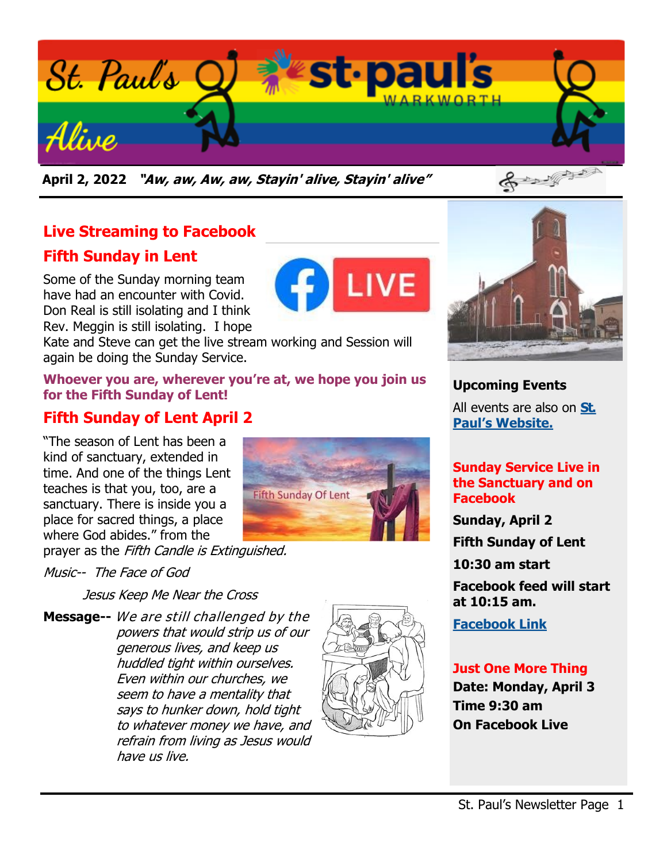

**April 2, 2022 "Aw, aw, Aw, aw, Stayin' alive, Stayin' alive"** 

# **Live Streaming to Facebook**

## **Fifth Sunday in Lent**

Some of the Sunday morning team have had an encounter with Covid. Don Real is still isolating and I think Rev. Meggin is still isolating. I hope

Kate and Steve can get the live stream working and Session will again be doing the Sunday Service.

#### **Whoever you are, wherever you're at, we hope you join us for the Fifth Sunday of Lent!**

## **Fifth Sunday of Lent April 2**

"The season of Lent has been a kind of sanctuary, extended in time. And one of the things Lent teaches is that you, too, are a sanctuary. There is inside you a place for sacred things, a place where God abides." from the



prayer as the Fifth Candle is Extinguished.

#### Music-- The Face of God

Jesus Keep Me Near the Cross

**Message--** We are still challenged by the powers that would strip us of our generous lives, and keep us huddled tight within ourselves. Even within our churches, we seem to have a mentality that says to hunker down, hold tight to whatever money we have, and refrain from living as Jesus would have us live.





#### **Upcoming Events**

All events are also on **[St.](https://stpaulswarkworth.ca/)  [Paul's Website.](https://stpaulswarkworth.ca/)**

#### **Sunday Service Live in the Sanctuary and on Facebook**

**Sunday, April 2**

**Fifth Sunday of Lent**

**10:30 am start**

**Facebook feed will start at 10:15 am.**

**[Facebook Link](https://www.facebook.com/stpaulsunitedchurchwarkworth)**

#### **Just One More Thing**

**Date: Monday, April 3 Time 9:30 am On Facebook Live**

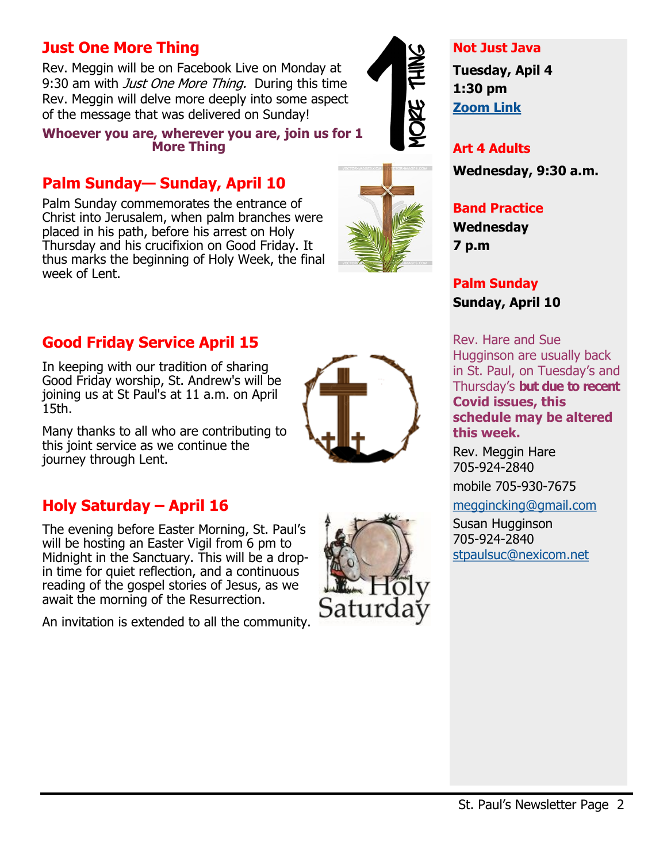## **Just One More Thing**

Rev. Meggin will be on Facebook Live on Monday at 9:30 am with *Just One More Thing.* During this time Rev. Meggin will delve more deeply into some aspect of the message that was delivered on Sunday!

#### **Whoever you are, wherever you are, join us for 1 More Thing**

## **Palm Sunday— Sunday, April 10**

Palm Sunday commemorates the entrance of Christ into Jerusalem, when palm branches were placed in his path, before his arrest on Holy Thursday and his crucifixion on Good Friday. It thus marks the beginning of Holy Week, the final week of Lent.

## **Good Friday Service April 15**

In keeping with our tradition of sharing Good Friday worship, St. Andrew's will be joining us at St Paul's at 11 a.m. on April 15th.

Many thanks to all who are contributing to this joint service as we continue the journey through Lent.

## **Holy Saturday – April 16**

The evening before Easter Morning, St. Paul's will be hosting an Easter Vigil from 6 pm to Midnight in the Sanctuary. This will be a dropin time for quiet reflection, and a continuous reading of the gospel stories of Jesus, as we await the morning of the Resurrection.

An invitation is extended to all the community.



#### **Not Just Java**

**Tuesday, Apil 4 1:30 pm [Zoom Link](https://us02web.zoom.us/j/89298492606?pwd=a2JDMGhWekdwdTMrRWhGOXU2clZCZz09)**

**Art 4 Adults Wednesday, 9:30 a.m.**

#### **Band Practice Wednesday 7 p.m**

**Palm Sunday Sunday, April 10**

Rev. Hare and Sue Hugginson are usually back in St. Paul, on Tuesday's and Thursday's **but due to recent Covid issues, this schedule may be altered this week.** 

Rev. Meggin Hare 705-924-2840

mobile 705-930-7675

[meggincking@gmail.com](mailto:meggincking@gmail.com)

Susan Hugginson 705-924-2840 [stpaulsuc@nexicom.net](mailto:stpaulsuc@nexicom.net)



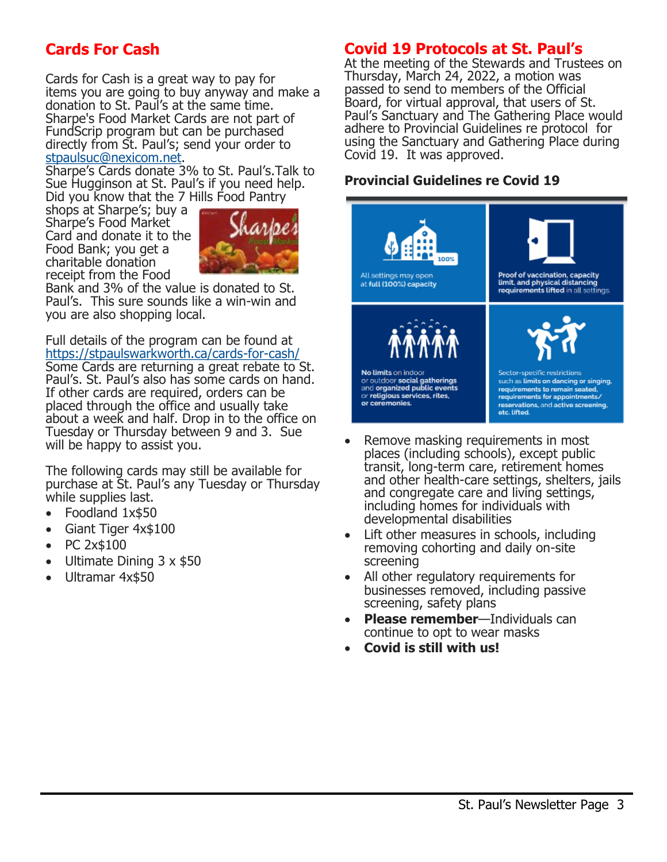## **Cards For Cash**

Cards for Cash is a great way to pay for items you are going to buy anyway and make a donation to St. Paul's at the same time. Sharpe's Food Market Cards are not part of FundScrip program but can be purchased directly from St. Paul's; send your order to [stpaulsuc@nexicom.net.](mailto:stpaulsuc@nexicom.net)

Sharpe's Cards donate 3% to St. Paul's.Talk to Sue Hugginson at St. Paul's if you need help. Did you know that the 7 Hills Food Pantry

shops at Sharpe's; buy a Sharpe's Food Market Card and donate it to the Food Bank; you get a charitable donation receipt from the Food



Bank and 3% of the value is donated to St. Paul's. This sure sounds like a win-win and you are also shopping local.

Full details of the program can be found at [https://stpaulswarkworth.ca/cards](https://stpaulswarkworth.ca/cards-for-cash/)-for-cash/

Some Cards are returning a great rebate to St. Paul's. St. Paul's also has some cards on hand. If other cards are required, orders can be placed through the office and usually take about a week and half. Drop in to the office on Tuesday or Thursday between 9 and 3. Sue will be happy to assist you.

The following cards may still be available for purchase at St. Paul's any Tuesday or Thursday while supplies last.

- Foodland 1x\$50
- Giant Tiger 4x\$100
- PC 2x\$100
- Ultimate Dining  $3 \times $50$
- Ultramar 4x\$50

### **Covid 19 Protocols at St. Paul's**

At the meeting of the Stewards and Trustees on Thursday, March 24, 2022, a motion was passed to send to members of the Official Board, for virtual approval, that users of St. Paul's Sanctuary and The Gathering Place would adhere to Provincial Guidelines re protocol for using the Sanctuary and Gathering Place during Covid 19. It was approved.

#### **Provincial Guidelines re Covid 19**



- Remove masking requirements in most places (including schools), except public transit, long-term care, retirement homes and other health-care settings, shelters, jails and congregate care and living settings, including homes for individuals with developmental disabilities
- Lift other measures in schools, including removing cohorting and daily on-site screening
- All other regulatory requirements for businesses removed, including passive screening, safety plans
- **Please remember**—Individuals can continue to opt to wear masks
- **Covid is still with us!**